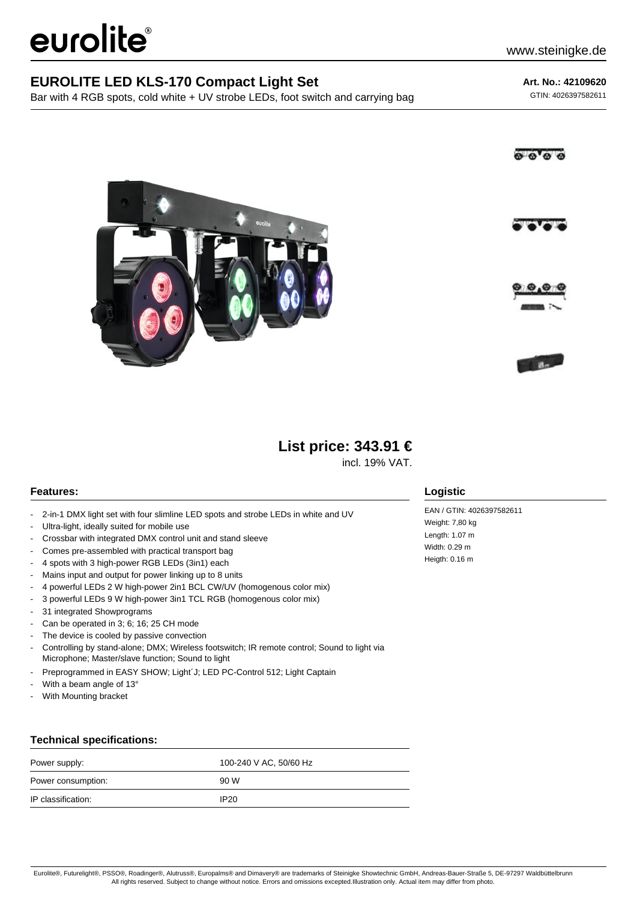# eurolite®

### **EUROLITE LED KLS-170 Compact Light Set**

Bar with 4 RGB spots, cold white + UV strobe LEDs, foot switch and carrying bag

**Art. No.: 42109620**

GTIN: 4026397582611









## **List price: 343.91 €**

incl. 19% VAT.

#### **Features:**

- 2-in-1 DMX light set with four slimline LED spots and strobe LEDs in white and UV
- Ultra-light, ideally suited for mobile use
- Crossbar with integrated DMX control unit and stand sleeve
- Comes pre-assembled with practical transport bag
- 4 spots with 3 high-power RGB LEDs (3in1) each
- Mains input and output for power linking up to 8 units
- 4 powerful LEDs 2 W high-power 2in1 BCL CW/UV (homogenous color mix)
- 3 powerful LEDs 9 W high-power 3in1 TCL RGB (homogenous color mix)
- 31 integrated Showprograms
- Can be operated in 3; 6; 16; 25 CH mode
- The device is cooled by passive convection
- Controlling by stand-alone; DMX; Wireless footswitch; IR remote control; Sound to light via Microphone; Master/slave function; Sound to light
- Preprogrammed in EASY SHOW; Light´J; LED PC-Control 512; Light Captain
- With a beam angle of 13°
- With Mounting bracket

#### **Technical specifications:**

| Power supply:      | 100-240 V AC, 50/60 Hz |
|--------------------|------------------------|
| Power consumption: | 90 W                   |
| IP classification: | IP <sub>20</sub>       |

#### **Logistic**

EAN / GTIN: 4026397582611 Weight: 7,80 kg Length: 1.07 m Width: 0.29 m Heigth: 0.16 m

Eurolite®, Futurelight®, PSSO®, Roadinger®, Alutruss®, Europalms® and Dimavery® are trademarks of Steinigke Showtechnic GmbH, Andreas-Bauer-Straße 5, DE-97297 Waldbüttelbrunn All rights reserved. Subject to change without notice. Errors and omissions excepted.Illustration only. Actual item may differ from photo.